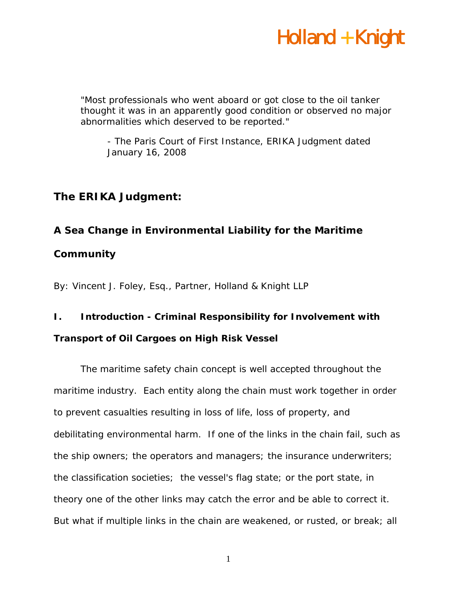*"Most professionals who went aboard or got close to the oil tanker thought it was in an apparently good condition or observed no major abnormalities which deserved to be reported."* 

*- The Paris Court of First Instance, ERIKA Judgment dated January 16, 2008* 

#### **The** *ERIKA* **Judgment:**

#### **A Sea Change in Environmental Liability for the Maritime**

#### **Community**

By: Vincent J. Foley, Esq., Partner, Holland & Knight LLP

#### **I. Introduction - Criminal Responsibility for Involvement with**

#### **Transport of Oil Cargoes on High Risk Vessel**

The maritime safety chain concept is well accepted throughout the maritime industry. Each entity along the chain must work together in order to prevent casualties resulting in loss of life, loss of property, and debilitating environmental harm. If one of the links in the chain fail, such as the ship owners; the operators and managers; the insurance underwriters; the classification societies; the vessel's flag state; or the port state, in theory one of the other links may catch the error and be able to correct it. But what if multiple links in the chain are weakened, or rusted, or break; all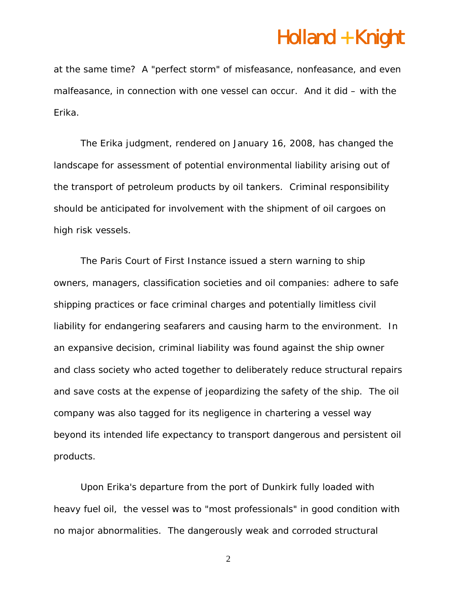at the same time? A "perfect storm" of misfeasance, nonfeasance, and even malfeasance, in connection with one vessel can occur. And it did – with the *Erika*.

 The *Erika* judgment, rendered on January 16, 2008, has changed the landscape for assessment of potential environmental liability arising out of the transport of petroleum products by oil tankers. Criminal responsibility should be anticipated for involvement with the shipment of oil cargoes on high risk vessels.

The Paris Court of First Instance issued a stern warning to ship owners, managers, classification societies and oil companies: adhere to safe shipping practices or face criminal charges and potentially limitless civil liability for endangering seafarers and causing harm to the environment. In an expansive decision, criminal liability was found against the ship owner and class society who acted together to deliberately reduce structural repairs and save costs at the expense of jeopardizing the safety of the ship. The oil company was also tagged for its negligence in chartering a vessel way beyond its intended life expectancy to transport dangerous and persistent oil products.

Upon *Erika*'s departure from the port of Dunkirk fully loaded with heavy fuel oil, the vessel was to "most professionals" in good condition with no major abnormalities. The dangerously weak and corroded structural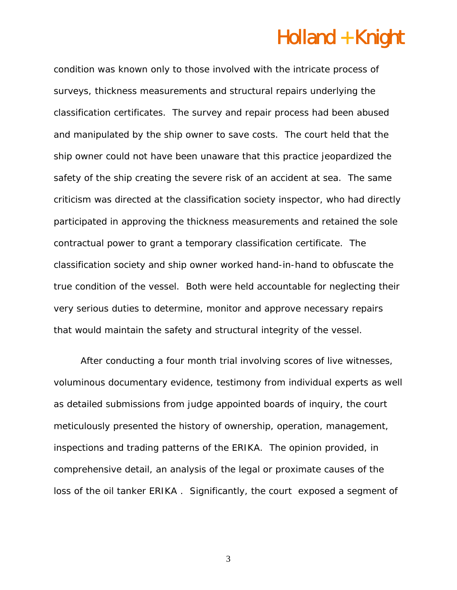condition was known only to those involved with the intricate process of surveys, thickness measurements and structural repairs underlying the classification certificates. The survey and repair process had been abused and manipulated by the ship owner to save costs. The court held that the ship owner could not have been unaware that this practice jeopardized the safety of the ship creating the severe risk of an accident at sea. The same criticism was directed at the classification society inspector, who had directly participated in approving the thickness measurements and retained the sole contractual power to grant a temporary classification certificate. The classification society and ship owner worked hand-in-hand to obfuscate the true condition of the vessel. Both were held accountable for neglecting their very serious duties to determine, monitor and approve necessary repairs that would maintain the safety and structural integrity of the vessel.

After conducting a four month trial involving scores of live witnesses, voluminous documentary evidence, testimony from individual experts as well as detailed submissions from judge appointed boards of inquiry, the court meticulously presented the history of ownership, operation, management, inspections and trading patterns of the *ERIKA*. The opinion provided, in comprehensive detail, an analysis of the legal or proximate causes of the loss of the oil tanker *ERIKA* . Significantly, the court exposed a segment of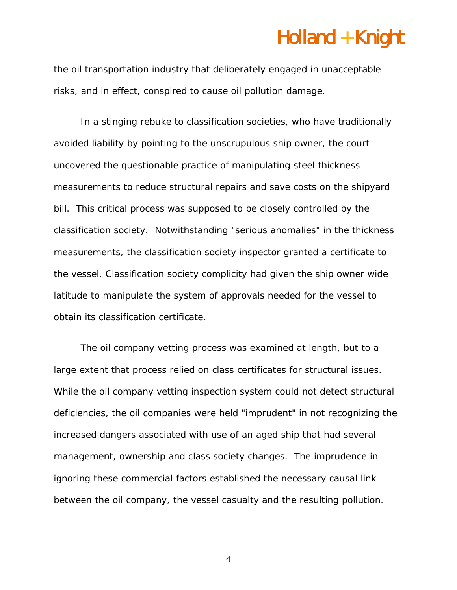the oil transportation industry that deliberately engaged in unacceptable risks, and in effect, conspired to cause oil pollution damage.

In a stinging rebuke to classification societies, who have traditionally avoided liability by pointing to the unscrupulous ship owner, the court uncovered the questionable practice of manipulating steel thickness measurements to reduce structural repairs and save costs on the shipyard bill. This critical process was supposed to be closely controlled by the classification society. Notwithstanding "serious anomalies" in the thickness measurements, the classification society inspector granted a certificate to the vessel. Classification society complicity had given the ship owner wide latitude to manipulate the system of approvals needed for the vessel to obtain its classification certificate.

The oil company vetting process was examined at length, but to a large extent that process relied on class certificates for structural issues. While the oil company vetting inspection system could not detect structural deficiencies, the oil companies were held "imprudent" in not recognizing the increased dangers associated with use of an aged ship that had several management, ownership and class society changes. The imprudence in ignoring these commercial factors established the necessary causal link between the oil company, the vessel casualty and the resulting pollution.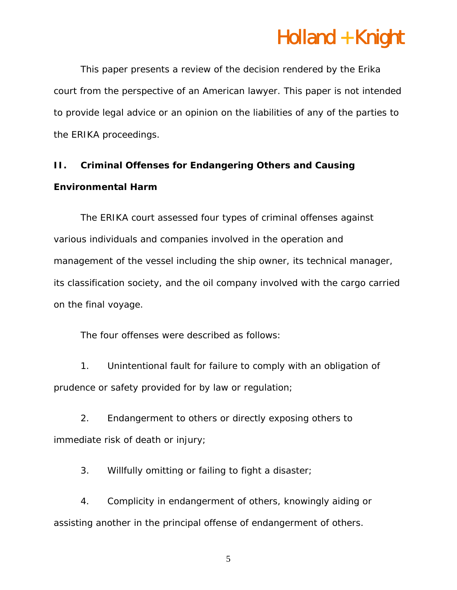This paper presents a review of the decision rendered by the *Erika* court from the perspective of an American lawyer. This paper is not intended to provide legal advice or an opinion on the liabilities of any of the parties to the ERIKA proceedings.

#### **II. Criminal Offenses for Endangering Others and Causing Environmental Harm**

The *ERIKA* court assessed four types of criminal offenses against various individuals and companies involved in the operation and management of the vessel including the ship owner, its technical manager, its classification society, and the oil company involved with the cargo carried on the final voyage.

The four offenses were described as follows:

1. Unintentional fault for failure to comply with an obligation of prudence or safety provided for by law or regulation;

2. Endangerment to others or directly exposing others to immediate risk of death or injury;

3. Willfully omitting or failing to fight a disaster;

4. Complicity in endangerment of others, knowingly aiding or assisting another in the principal offense of endangerment of others.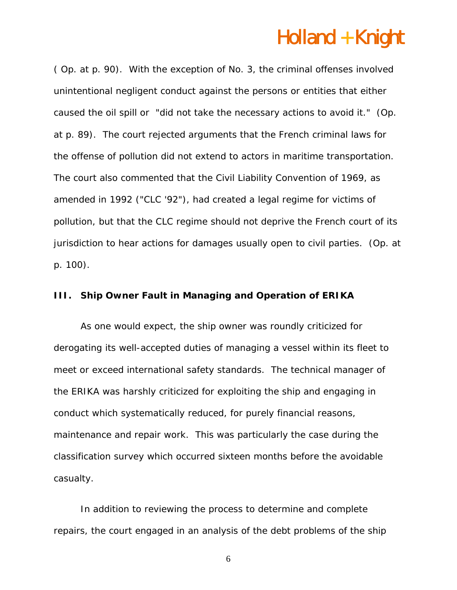( Op. at p. 90). With the exception of No. 3, the criminal offenses involved unintentional negligent conduct against the persons or entities that either caused the oil spill or "did not take the necessary actions to avoid it." (Op. at p. 89). The court rejected arguments that the French criminal laws for the offense of pollution did not extend to actors in maritime transportation. The court also commented that the Civil Liability Convention of 1969, as amended in 1992 ("CLC '92"), had created a legal regime for victims of pollution, but that the CLC regime should not deprive the French court of its jurisdiction to hear actions for damages usually open to civil parties. (Op. at p. 100).

#### **III.** Ship Owner Fault in Managing and Operation of *ERIKA*

As one would expect, the ship owner was roundly criticized for derogating its well-accepted duties of managing a vessel within its fleet to meet or exceed international safety standards. The technical manager of the *ERIKA* was harshly criticized for exploiting the ship and engaging in conduct which systematically reduced, for purely financial reasons, maintenance and repair work. This was particularly the case during the classification survey which occurred sixteen months before the avoidable casualty.

In addition to reviewing the process to determine and complete repairs, the court engaged in an analysis of the debt problems of the ship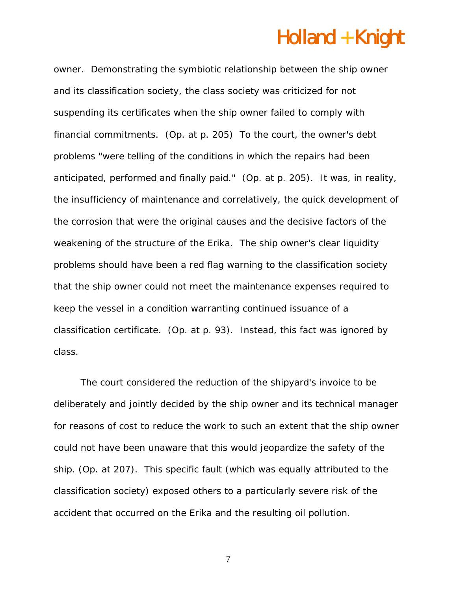owner. Demonstrating the symbiotic relationship between the ship owner and its classification society, the class society was criticized for not suspending its certificates when the ship owner failed to comply with financial commitments. (Op. at p. 205) To the court, the owner's debt problems "were telling of the conditions in which the repairs had been anticipated, performed and finally paid." (Op. at p. 205). It was, in reality, the insufficiency of maintenance and correlatively, the quick development of the corrosion that were the original causes and the decisive factors of the weakening of the structure of the *Erika*. The ship owner's clear liquidity problems should have been a red flag warning to the classification society that the ship owner could not meet the maintenance expenses required to keep the vessel in a condition warranting continued issuance of a classification certificate. (Op. at p. 93). Instead, this fact was ignored by class.

The court considered the reduction of the shipyard's invoice to be deliberately and jointly decided by the ship owner and its technical manager for reasons of cost to reduce the work to such an extent that the ship owner could not have been unaware that this would jeopardize the safety of the ship. (Op. at 207). This specific fault (which was equally attributed to the classification society) exposed others to a particularly severe risk of the accident that occurred on the *Erika* and the resulting oil pollution.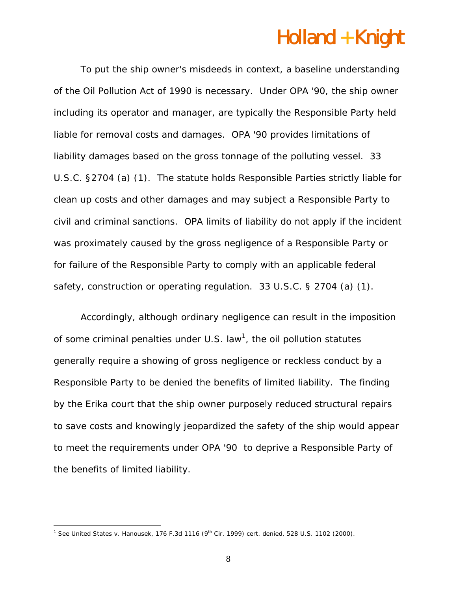To put the ship owner's misdeeds in context, a baseline understanding of the Oil Pollution Act of 1990 is necessary. Under OPA '90, the ship owner including its operator and manager, are typically the Responsible Party held liable for removal costs and damages. OPA '90 provides limitations of liability damages based on the gross tonnage of the polluting vessel. 33 U.S.C. §2704 (a) (1). The statute holds Responsible Parties strictly liable for clean up costs and other damages and may subject a Responsible Party to civil and criminal sanctions. OPA limits of liability do not apply if the incident was proximately caused by the gross negligence of a Responsible Party or for failure of the Responsible Party to comply with an applicable federal safety, construction or operating regulation. 33 U.S.C. § 2704 (a) (1).

Accordingly, although ordinary negligence can result in the imposition of some criminal penalties under U.S. law<sup>1</sup>, the oil pollution statutes generally require a showing of gross negligence or reckless conduct by a Responsible Party to be denied the benefits of limited liability. The finding by the *Erika* court that the ship owner purposely reduced structural repairs to save costs and knowingly jeopardized the safety of the ship would appear to meet the requirements under OPA '90 to deprive a Responsible Party of the benefits of limited liability.

 $\overline{a}$ 

<sup>1</sup> See *United States v. Hanousek*, 176 F.3d 1116 (9th Cir. 1999) *cert. denied,* 528 U.S. 1102 (2000).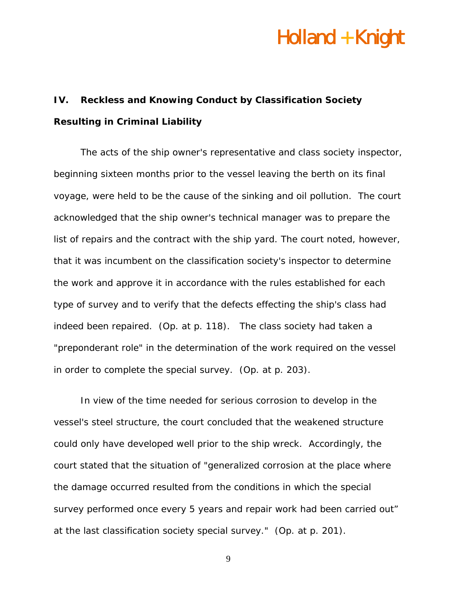#### **IV. Reckless and Knowing Conduct by Classification Society Resulting in Criminal Liability**

The acts of the ship owner's representative and class society inspector, beginning sixteen months prior to the vessel leaving the berth on its final voyage, were held to be the cause of the sinking and oil pollution. The court acknowledged that the ship owner's technical manager was to prepare the list of repairs and the contract with the ship yard. The court noted, however, that it was incumbent on the classification society's inspector to determine the work and approve it in accordance with the rules established for each type of survey and to verify that the defects effecting the ship's class had indeed been repaired. (Op. at p. 118). The class society had taken a "preponderant role" in the determination of the work required on the vessel in order to complete the special survey. (Op. at p. 203).

In view of the time needed for serious corrosion to develop in the vessel's steel structure, the court concluded that the weakened structure could only have developed well prior to the ship wreck. Accordingly, the court stated that the situation of "generalized corrosion at the place where the damage occurred resulted from the conditions in which the special survey performed once every 5 years and repair work had been carried out" at the last classification society special survey." (Op. at p. 201).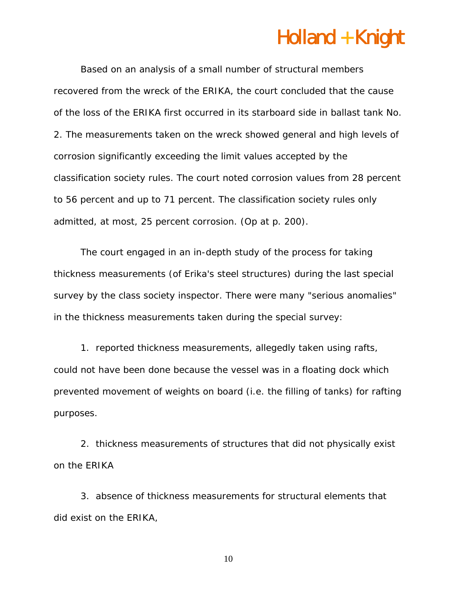Based on an analysis of a small number of structural members recovered from the wreck of the *ERIKA*, the court concluded that the cause of the loss of the *ERIKA* first occurred in its starboard side in ballast tank No. 2. The measurements taken on the wreck showed general and high levels of corrosion significantly exceeding the limit values accepted by the classification society rules. The court noted corrosion values from 28 percent to 56 percent and up to 71 percent. The classification society rules only admitted, at most, 25 percent corrosion. (Op at p. 200).

The court engaged in an in-depth study of the process for taking thickness measurements (of *Erika's* steel structures) during the last special survey by the class society inspector. There were many "serious anomalies" in the thickness measurements taken during the special survey:

1. reported thickness measurements, allegedly taken using rafts, could not have been done because the vessel was in a floating dock which prevented movement of weights on board (i.e. the filling of tanks) for rafting purposes.

2. thickness measurements of structures that did not physically exist on the *ERIKA* 

*3.* absence of thickness measurements for structural elements that did exist on the *ERIKA*,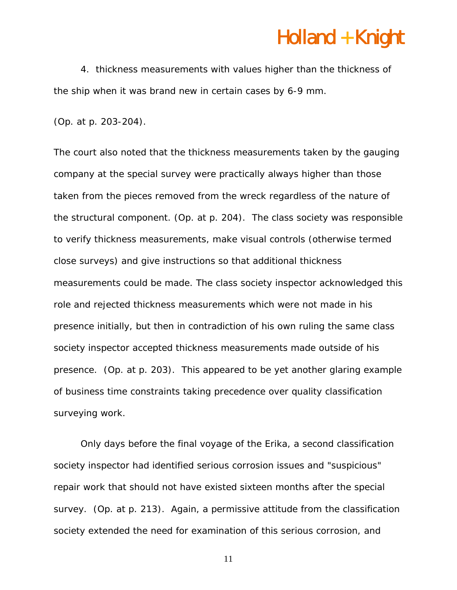4. thickness measurements with values higher than the thickness of the ship when it was brand new in certain cases by 6-9 mm.

(Op. at p. 203-204).

The court also noted that the thickness measurements taken by the gauging company at the special survey were practically always higher than those taken from the pieces removed from the wreck regardless of the nature of the structural component. (Op. at p. 204). The class society was responsible to verify thickness measurements, make visual controls (otherwise termed close surveys) and give instructions so that additional thickness measurements could be made. The class society inspector acknowledged this role and rejected thickness measurements which were not made in his presence initially, but then in contradiction of his own ruling the same class society inspector accepted thickness measurements made outside of his presence. (Op. at p. 203). This appeared to be yet another glaring example of business time constraints taking precedence over quality classification surveying work.

Only days before the final voyage of the *Erika*, a second classification society inspector had identified serious corrosion issues and "suspicious" repair work that should not have existed sixteen months after the special survey. (Op. at p. 213). Again, a permissive attitude from the classification society extended the need for examination of this serious corrosion, and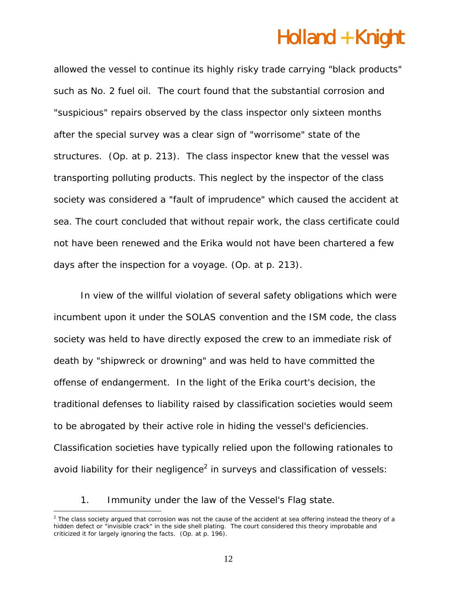allowed the vessel to continue its highly risky trade carrying "black products" such as No. 2 fuel oil. The court found that the substantial corrosion and "suspicious" repairs observed by the class inspector only sixteen months after the special survey was a clear sign of "worrisome" state of the structures. (Op. at p. 213). The class inspector knew that the vessel was transporting polluting products. This neglect by the inspector of the class society was considered a "fault of imprudence" which caused the accident at sea. The court concluded that without repair work, the class certificate could not have been renewed and the *Erika* would not have been chartered a few days after the inspection for a voyage. (Op. at p. 213).

In view of the willful violation of several safety obligations which were incumbent upon it under the SOLAS convention and the ISM code, the class society was held to have directly exposed the crew to an immediate risk of death by "shipwreck or drowning" and was held to have committed the offense of endangerment. In the light of the *Erika* court's decision, the traditional defenses to liability raised by classification societies would seem to be abrogated by their active role in hiding the vessel's deficiencies. Classification societies have typically relied upon the following rationales to avoid liability for their negligence<sup>2</sup> in surveys and classification of vessels:

1. Immunity under the law of the Vessel's Flag state.

 $\overline{a}$ 

 $2$  The class society argued that corrosion was not the cause of the accident at sea offering instead the theory of a hidden defect or "invisible crack" in the side shell plating. The court considered this theory improbable and criticized it for largely ignoring the facts. (Op. at  $p. 196$ ).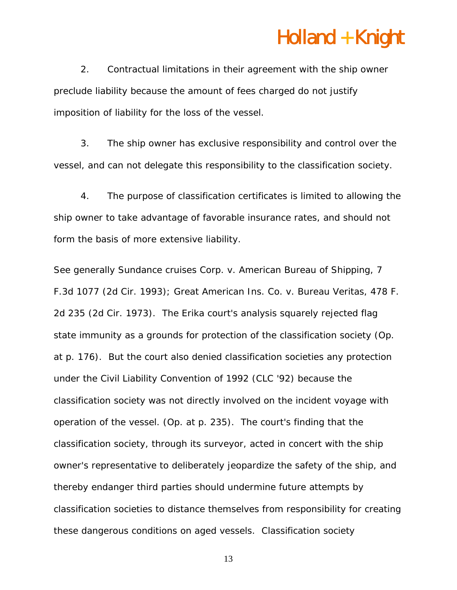2. Contractual limitations in their agreement with the ship owner preclude liability because the amount of fees charged do not justify imposition of liability for the loss of the vessel.

 3. The ship owner has exclusive responsibility and control over the vessel, and can not delegate this responsibility to the classification society.

 4. The purpose of classification certificates is limited to allowing the ship owner to take advantage of favorable insurance rates, and should not form the basis of more extensive liability.

*See generally Sundance cruises Corp. v. American Bureau of Shipping*, 7 F.3d 1077 (2d Cir. 1993); *Great American Ins. Co. v. Bureau Veritas*, 478 F. 2d 235 (2d Cir. 1973). The *Erika* court's analysis squarely rejected flag state immunity as a grounds for protection of the classification society (Op. at p. 176). But the court also denied classification societies any protection under the Civil Liability Convention of 1992 (CLC '92) because the classification society was not directly involved on the incident voyage with operation of the vessel. (Op. at p. 235). The court's finding that the classification society, through its surveyor, acted in concert with the ship owner's representative to deliberately jeopardize the safety of the ship, and thereby endanger third parties should undermine future attempts by classification societies to distance themselves from responsibility for creating these dangerous conditions on aged vessels. Classification society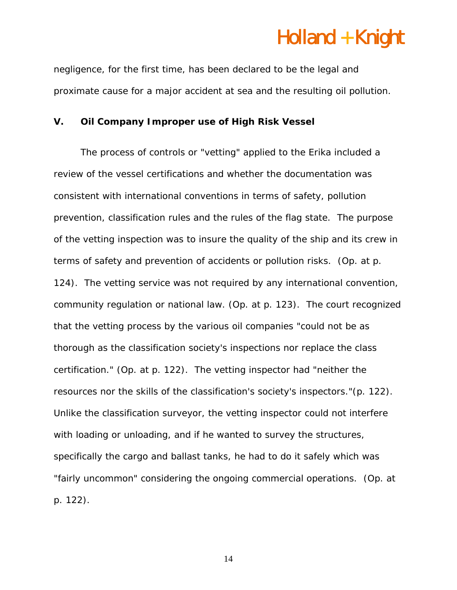negligence, for the first time, has been declared to be the legal and proximate cause for a major accident at sea and the resulting oil pollution.

#### **V. Oil Company Improper use of High Risk Vessel**

The process of controls or "vetting" applied to the *Erika* included a review of the vessel certifications and whether the documentation was consistent with international conventions in terms of safety, pollution prevention, classification rules and the rules of the flag state. The purpose of the vetting inspection was to insure the quality of the ship and its crew in terms of safety and prevention of accidents or pollution risks. (Op. at p. 124). The vetting service was not required by any international convention, community regulation or national law. (Op. at p. 123). The court recognized that the vetting process by the various oil companies "could not be as thorough as the classification society's inspections nor replace the class certification." (Op. at p. 122). The vetting inspector had "neither the resources nor the skills of the classification's society's inspectors."(p. 122). Unlike the classification surveyor, the vetting inspector could not interfere with loading or unloading, and if he wanted to survey the structures, specifically the cargo and ballast tanks, he had to do it safely which was "fairly uncommon" considering the ongoing commercial operations. (Op. at p. 122).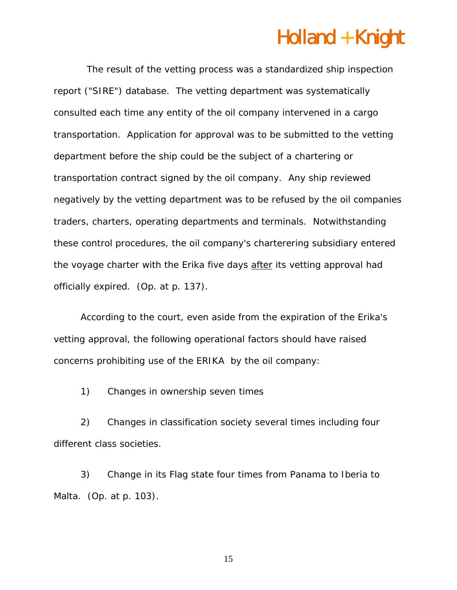The result of the vetting process was a standardized ship inspection report ("SIRE") database. The vetting department was systematically consulted each time any entity of the oil company intervened in a cargo transportation. Application for approval was to be submitted to the vetting department before the ship could be the subject of a chartering or transportation contract signed by the oil company. Any ship reviewed negatively by the vetting department was to be refused by the oil companies traders, charters, operating departments and terminals. Notwithstanding these control procedures, the oil company's charterering subsidiary entered the voyage charter with the Erika five days after its vetting approval had officially expired. (Op. at p. 137).

According to the court, even aside from the expiration of the *Erika's*  vetting approval, the following operational factors should have raised concerns prohibiting use of the *ERIKA* by the oil company:

1) Changes in ownership seven times

2) Changes in classification society several times including four different class societies.

3) Change in its Flag state four times from Panama to Iberia to Malta. (Op. at p. 103).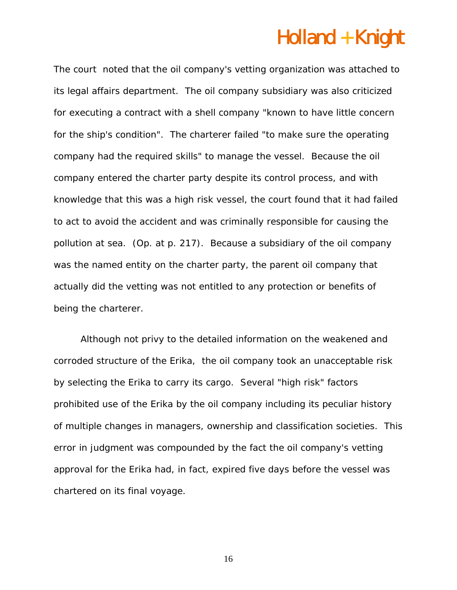The court noted that the oil company's vetting organization was attached to its legal affairs department. The oil company subsidiary was also criticized for executing a contract with a shell company "known to have little concern for the ship's condition". The charterer failed "to make sure the operating company had the required skills" to manage the vessel. Because the oil company entered the charter party despite its control process, and with knowledge that this was a high risk vessel, the court found that it had failed to act to avoid the accident and was criminally responsible for causing the pollution at sea. (Op. at p. 217). Because a subsidiary of the oil company was the named entity on the charter party, the parent oil company that actually did the vetting was not entitled to any protection or benefits of being the charterer.

Although not privy to the detailed information on the weakened and corroded structure of the *Erika*, the oil company took an unacceptable risk by selecting the *Erika* to carry its cargo. Several "high risk" factors prohibited use of the *Erika* by the oil company including its peculiar history of multiple changes in managers, ownership and classification societies. This error in judgment was compounded by the fact the oil company's vetting approval for the Erika had, in fact, expired five days before the vessel was chartered on its final voyage.